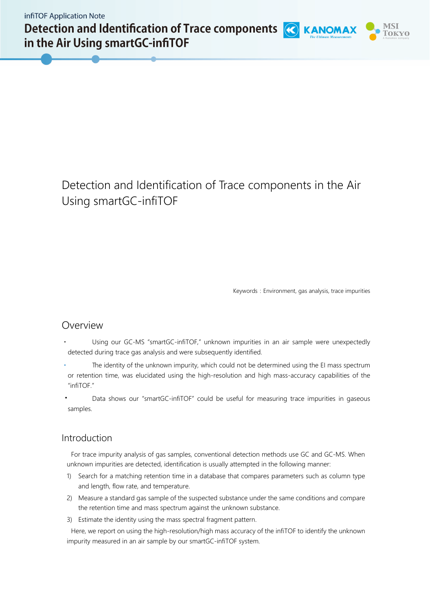Detection and Identification of Trace components (C) KANOMAX in the Air Using smartGC-infiTOF



Keywords: Environment, gas analysis, trace impurities

# Overview

- Using our GC-MS "smartGC-infiTOF," unknown impurities in an air sample were unexpectedly detected during trace gas analysis and were subsequently identified.
- The identity of the unknown impurity, which could not be determined using the EI mass spectrum or retention time, was elucidated using the high-resolution and high mass-accuracy capabilities of the "infiTOF."
- Data shows our "smartGC-infiTOF" could be useful for measuring trace impurities in gaseous samples.

# Introduction

For trace impurity analysis of gas samples, conventional detection methods use GC and GC-MS. When unknown impurities are detected, identification is usually attempted in the following manner:

- 1) Search for a matching retention time in a database that compares parameters such as column type and length, flow rate, and temperature.
- 2) Measure a standard gas sample of the suspected substance under the same conditions and compare the retention time and mass spectrum against the unknown substance.
- 3) Estimate the identity using the mass spectral fragment pattern.

Here, we report on using the high-resolution/high mass accuracy of the infiTOF to identify the unknown impurity measured in an air sample by our smartGC-infiTOF system.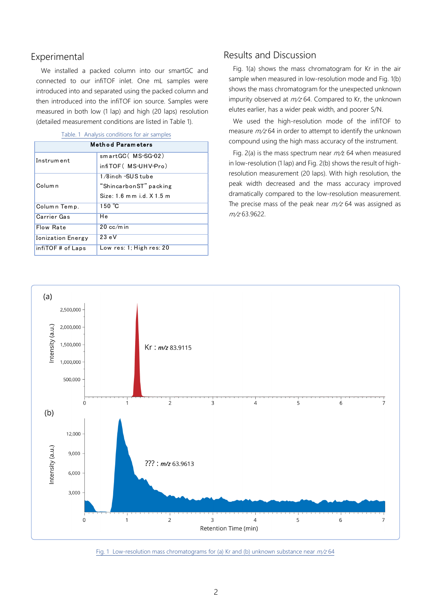## Experimental

We installed a packed column into our smartGC and connected to our infiTOF inlet. One mL samples were introduced into and separated using the packed column and then introduced into the infiTOF ion source. Samples were measured in both low (1 lap) and high (20 laps) resolution (detailed measurement conditions are listed in Table 1).

| <b>Method Parameters</b> |                              |  |
|--------------------------|------------------------------|--|
| Instrument               | smartGC(MS-SG-02)            |  |
|                          | infiTOF (MS-UHV-Pro)         |  |
| Column                   | 1/8inch -SUS tube            |  |
|                          | "ShincarbonST" packing       |  |
|                          | $Size: 1.6$ mm i.d. $X1.5$ m |  |
| Column Temp.             | $150 \text{ °C}$             |  |
| Carrier Gas              | Нe                           |  |
| Flow Rate                | $20 \text{ cc/m}$ in         |  |
| <b>Ionization Energy</b> | 23eV                         |  |
| infiTOF # of Laps        | Low res: 1: High res: 20     |  |

### Table. 1 Analysis conditions for air samples

### Results and Discussion

Fig. 1(a) shows the mass chromatogram for Kr in the air sample when measured in low-resolution mode and Fig. 1(b) shows the mass chromatogram for the unexpected unknown impurity observed at  $m/z$  64. Compared to Kr, the unknown elutes earlier, has a wider peak width, and poorer S/N.

We used the high-resolution mode of the infiTOF to measure  $m/z$  64 in order to attempt to identify the unknown compound using the high mass accuracy of the instrument.

Fig. 2(a) is the mass spectrum near  $m/z$  64 when measured in low-resolution (1 lap) and Fig. 2(b) shows the result of highresolution measurement (20 laps). With high resolution, the peak width decreased and the mass accuracy improved dramatically compared to the low-resolution measurement. The precise mass of the peak near  $m/z$  64 was assigned as  $m/z$  63.9622.



Fig. 1 Low-resolution mass chromatograms for (a) Kr and (b) unknown substance near  $m/z$  64